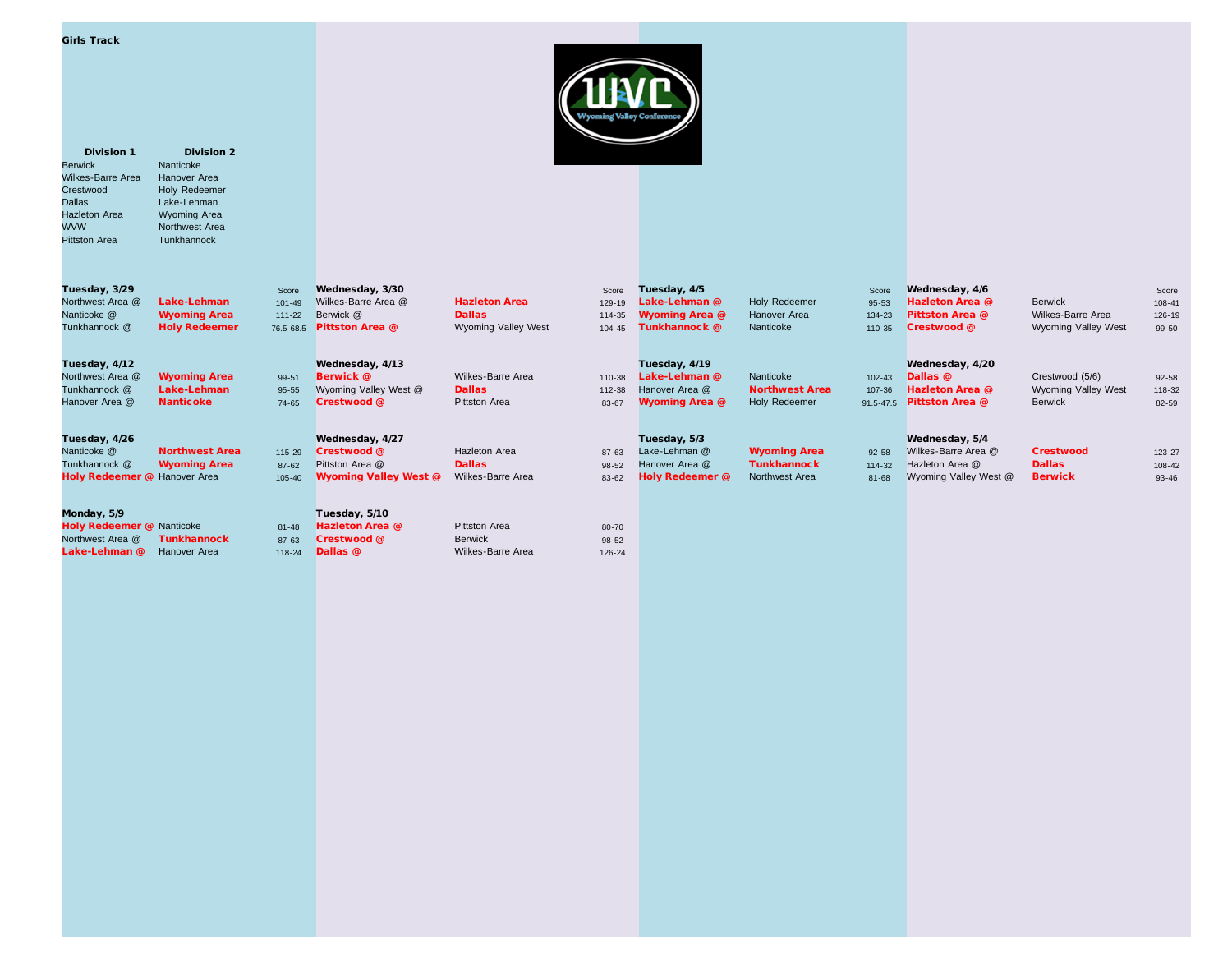| Girls Track |  |  |  |
|-------------|--|--|--|
|-------------|--|--|--|